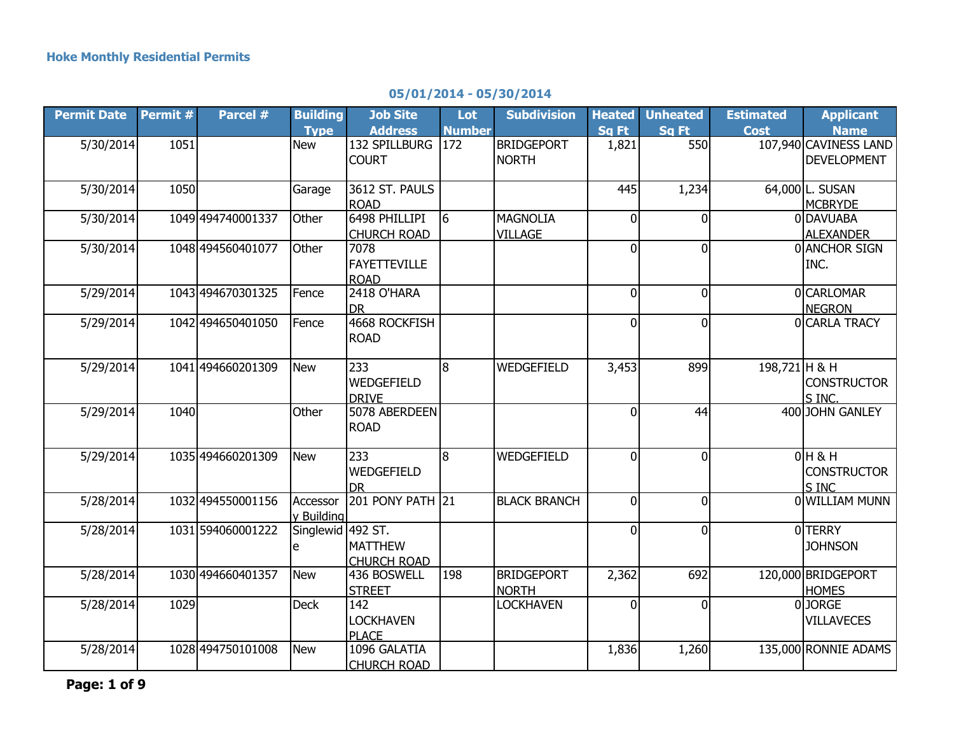## **Permit Date Permit # Parcel # Building Type Job Site Address Lot Number Subdivision Heated Sq Ft Unheated Sq Ft Estimated Cost Applicant Name** 5/30/2014 1051 **New 132 SPILLBURG** 172 **COURT BRIDGEPORT** NORTH 1,821 550 107,940 CAVINESS LAND DEVELOPMENT 5/30/2014 1050 Garage 3612 ST. PAULS ROAD 445 1,234 64,000 L. SUSAN **MCBRYDE** 5/30/2014 1049 494740001337 Other 6498 PHILLIPI CHURCH ROAD 6 MAGNOLIA VILL AGF 0 0 0 DAVUABA ALEXANDER 5/30/2014 1048 494560401077 Other 7078 FAYETTEVILLE ROAD<br>2418 O'HARA 0 0 0 ANCHOR SIGN INC. 5/29/2014 1043 494670301325 Fence DR<br>|4668 ROCKFISH| 0 0 0 CARLOMAR 5/29/2014 1042 494650401050 Fence ROAD 5/29/2014 1041 494660201309 New 233 WEDGEFIELD DRIVE 8 WEDGEFIELD 3,453 899 198,721 H & H S INC. 5/29/2014 1040 Other 5078 ABERDEEN ROAD 5/29/2014 1035 494660201309 New 233 WEDGEFIELD DR l8 IWEDGEFIELD I 0I 0I 0IH & H

## **05/01/2014 - 05/30/2014**

**NEGRON** 0 0 0 CARLA TRACY **CONSTRUCTOR** 0 44 400 JOHN GANLEY **CONSTRUCTOR** <u>S INC<br>OLWILLIAM MUNN</u> 5/28/2014 1032 494550001156 y Building Accessor 201 PONY PATH 21 BLACK BRANCH 0 5/28/2014 1031 594060001222 e Singlewid 492 ST. **MATTHEW** CHURCH ROAD 0 0 0 OTERRY **JOHNSON** 5/28/2014 1030 494660401357 New 1436 BOSWELL **STREET** 198 BRIDGEPORT NORTH 2,362 692 120,000 BRIDGEPORT HOMES 5/28/2014 1029 Deck 142 LOCKHAVEN PLACE<br>1096 GALATIA LOCKHAVEN 0 0 0 JORGE **VILLAVECES** 5/28/2014 1028 494750101008 New CHURCH ROAD 1,836 1,260 135,000 RONNIE ADAMS **Page: 1 of 9**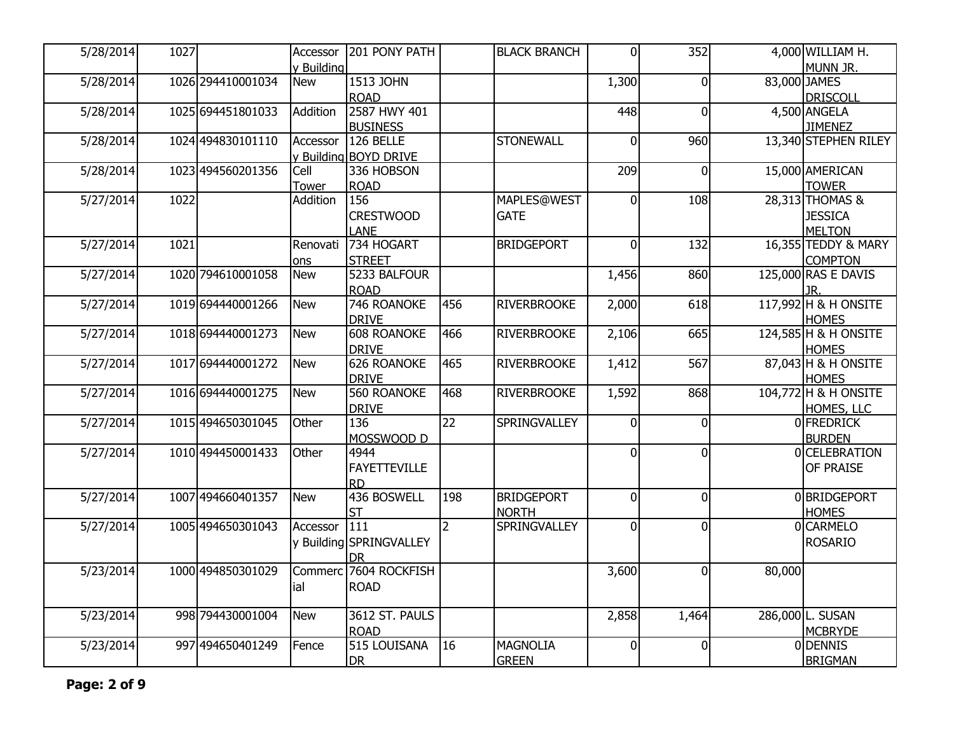| 5/28/2014 | 1027 |                   | Accessor     | 201 PONY PATH            |                 | <b>BLACK BRANCH</b> | $\overline{0}$ | 352            |              | 4,000 WILLIAM H.               |
|-----------|------|-------------------|--------------|--------------------------|-----------------|---------------------|----------------|----------------|--------------|--------------------------------|
|           |      |                   | y Building   | 1513 JOHN                |                 |                     |                |                | 83,000 JAMES | MUNN JR.                       |
| 5/28/2014 |      | 1026 294410001034 | <b>New</b>   | <b>ROAD</b>              |                 |                     | 1,300          | 0              |              | DRISCOLL                       |
| 5/28/2014 |      | 1025 694451801033 | Addition     | 2587 HWY 401             |                 |                     | 448            | 0              |              | 4,500 ANGELA                   |
|           |      |                   |              | <b>BUSINESS</b>          |                 |                     |                |                |              | <b>JIMENEZ</b>                 |
| 5/28/2014 |      | 1024 494830101110 | Accessor     | 126 BELLE                |                 | <b>STONEWALL</b>    | $\overline{0}$ | 960            |              | 13,340 STEPHEN RILEY           |
|           |      |                   |              | y Building BOYD DRIVE    |                 |                     |                |                |              |                                |
| 5/28/2014 |      | 1023 494560201356 | Cell         | 336 HOBSON               |                 |                     | 209            | $\Omega$       |              | 15,000 AMERICAN                |
|           |      |                   | <b>Tower</b> | <b>ROAD</b>              |                 |                     |                |                |              | <b>TOWER</b>                   |
| 5/27/2014 | 1022 |                   | Addition     | 156                      |                 | <b>MAPLES@WEST</b>  | $\overline{0}$ | 108            |              | 28,313 THOMAS &                |
|           |      |                   |              | <b>CRESTWOOD</b>         |                 | <b>GATE</b>         |                |                |              | <b>JESSICA</b>                 |
|           |      |                   |              | LANE                     |                 |                     |                |                |              | <b>MELTON</b>                  |
| 5/27/2014 | 1021 |                   | Renovati     | 734 HOGART               |                 | BRIDGEPORT          | $\overline{0}$ | 132            |              | 16,355 TEDDY & MARY            |
|           |      |                   | ons          | <b>STREET</b>            |                 |                     |                |                |              | <b>COMPTON</b>                 |
| 5/27/2014 |      | 1020 794610001058 | <b>New</b>   | 5233 BALFOUR             |                 |                     | 1,456          | 860            |              | 125,000 RAS E DAVIS            |
|           |      |                   |              | <b>ROAD</b>              |                 |                     |                |                |              | JR.                            |
| 5/27/2014 |      | 1019 694440001266 | <b>New</b>   | 746 ROANOKE              | 456             | <b>RIVERBROOKE</b>  | 2,000          | 618            |              | 117,992 H & H ONSITE           |
|           |      |                   |              | <b>DRIVE</b>             |                 |                     |                |                |              | <b>HOMES</b>                   |
| 5/27/2014 |      | 1018 694440001273 | New          | <b>608 ROANOKE</b>       | 466             | <b>RIVERBROOKE</b>  | 2,106          | 665            |              | 124,585 H & H ONSITE           |
|           |      |                   |              | <b>DRIVE</b>             |                 |                     |                |                |              | <b>HOMES</b>                   |
| 5/27/2014 |      | 1017 694440001272 | <b>New</b>   | 626 ROANOKE              | 465             | <b>RIVERBROOKE</b>  | 1,412          | 567            |              | 87,043 H & H ONSITE            |
|           |      |                   |              | <b>DRIVE</b>             |                 |                     |                |                |              | <b>HOMES</b>                   |
| 5/27/2014 |      | 1016 694440001275 | New          | 560 ROANOKE              | 468             | <b>RIVERBROOKE</b>  | 1,592          | 868            |              | 104,772 H & H ONSITE           |
|           |      |                   |              | <b>DRIVE</b>             |                 |                     |                |                |              | HOMES, LLC                     |
| 5/27/2014 |      | 1015 494650301045 | Other        | 136                      | $\overline{22}$ | SPRINGVALLEY        | $\Omega$       | $\Omega$       |              | 0 FREDRICK                     |
| 5/27/2014 |      | 1010 494450001433 | Other        | MOSSWOOD D<br>4944       |                 |                     | $\overline{0}$ | $\overline{0}$ |              | <b>BURDEN</b><br>0 CELEBRATION |
|           |      |                   |              |                          |                 |                     |                |                |              |                                |
|           |      |                   |              | <b>FAYETTEVILLE</b>      |                 |                     |                |                |              | OF PRAISE                      |
| 5/27/2014 |      | 1007 494660401357 | New          | <b>RD</b><br>436 BOSWELL | 198             | <b>BRIDGEPORT</b>   | $\overline{0}$ | $\Omega$       |              | 0BRIDGEPORT                    |
|           |      |                   |              | <b>ST</b>                |                 | <b>NORTH</b>        |                |                |              | <b>HOMES</b>                   |
| 5/27/2014 |      | 1005 494650301043 | Accessor     | 111                      | $\overline{2}$  | <b>SPRINGVALLEY</b> | $\overline{0}$ | $\mathbf 0$    |              | 0 CARMELO                      |
|           |      |                   |              | y Building SPRINGVALLEY  |                 |                     |                |                |              | <b>ROSARIO</b>                 |
|           |      |                   |              | <b>DR</b>                |                 |                     |                |                |              |                                |
| 5/23/2014 |      | 1000 494850301029 |              | Commerc 7604 ROCKFISH    |                 |                     | 3,600          | $\mathbf 0$    | 80,000       |                                |
|           |      |                   | ial          | <b>ROAD</b>              |                 |                     |                |                |              |                                |
|           |      |                   |              |                          |                 |                     |                |                |              |                                |
| 5/23/2014 |      | 998 794430001004  | <b>New</b>   | 3612 ST. PAULS           |                 |                     | 2,858          | 1,464          |              | 286,000 L. SUSAN               |
|           |      |                   |              | <b>ROAD</b>              |                 |                     |                |                |              | <b>MCBRYDE</b>                 |
| 5/23/2014 |      | 997 494650401249  | Fence        | 515 LOUISANA             | 16              | <b>MAGNOLIA</b>     | $\overline{0}$ | $\mathbf 0$    |              | 0DENNIS                        |
|           |      |                   |              | <b>DR</b>                |                 | <b>GREEN</b>        |                |                |              | <b>BRIGMAN</b>                 |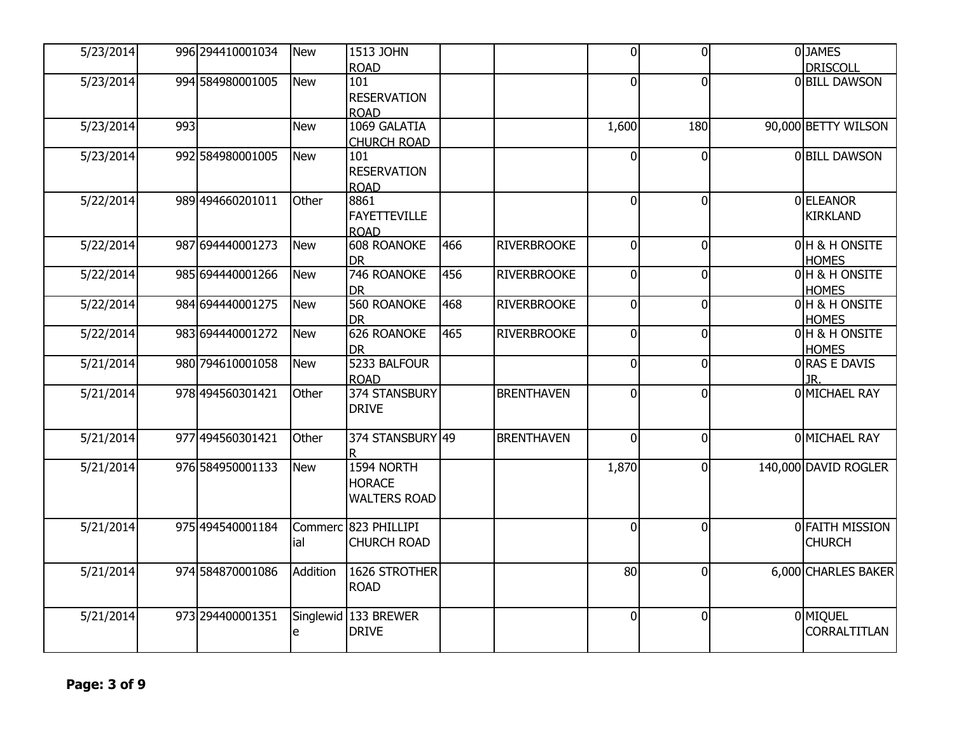| 5/23/2014 |     | 996 294410001034 | New        | 1513 JOHN                       |     |                    | $\overline{0}$ | $\overline{0}$ | 0JAMES                         |
|-----------|-----|------------------|------------|---------------------------------|-----|--------------------|----------------|----------------|--------------------------------|
|           |     |                  |            | <b>ROAD</b>                     |     |                    |                |                | <b>DRISCOLL</b>                |
| 5/23/2014 |     | 994 584980001005 | New        | 101                             |     |                    | $\Omega$       | $\overline{0}$ | 0 BILL DAWSON                  |
|           |     |                  |            | <b>RESERVATION</b>              |     |                    |                |                |                                |
|           |     |                  |            | <b>ROAD</b>                     |     |                    |                |                |                                |
| 5/23/2014 | 993 |                  | <b>New</b> | 1069 GALATIA                    |     |                    | 1,600          | 180            | 90,000 BETTY WILSON            |
|           |     |                  |            | <b>CHURCH ROAD</b>              |     |                    |                |                |                                |
| 5/23/2014 |     | 992 584980001005 | New        | 101                             |     |                    | $\Omega$       | $\overline{0}$ | 0 BILL DAWSON                  |
|           |     |                  |            | <b>RESERVATION</b>              |     |                    |                |                |                                |
|           |     |                  |            | <b>ROAD</b>                     |     |                    |                |                |                                |
| 5/22/2014 |     | 989 494660201011 | Other      | 8861                            |     |                    | $\Omega$       | $\overline{0}$ | 0ELEANOR                       |
|           |     |                  |            | <b>FAYETTEVILLE</b>             |     |                    |                |                | <b>KIRKLAND</b>                |
|           |     |                  |            | <b>ROAD</b>                     |     |                    |                |                |                                |
| 5/22/2014 |     | 987 694440001273 | New        | <b>608 ROANOKE</b>              | 466 | <b>RIVERBROOKE</b> | $\Omega$       | $\overline{0}$ | 0 H & H ONSITE                 |
|           |     |                  |            | <b>DR</b>                       |     |                    |                |                | <b>HOMES</b>                   |
| 5/22/2014 |     | 985 694440001266 | New        | 746 ROANOKE                     | 456 | <b>RIVERBROOKE</b> | $\Omega$       | $\overline{0}$ | 0H & H ONSITE                  |
|           |     |                  |            | <b>DR</b>                       |     |                    |                |                | <b>HOMES</b>                   |
| 5/22/2014 |     | 984 694440001275 | New        | <b>560 ROANOKE</b>              | 468 | <b>RIVERBROOKE</b> | 0              | 0              | 0 H & H ONSITE                 |
|           |     |                  |            | <b>DR</b><br><b>626 ROANOKE</b> | 465 |                    |                | $\overline{0}$ | <b>HOMES</b><br>0 H & H ONSITE |
| 5/22/2014 |     | 983 694440001272 | New        | <b>DR</b>                       |     | <b>RIVERBROOKE</b> | $\overline{0}$ |                | <b>HOMES</b>                   |
| 5/21/2014 |     | 980 794610001058 | New        | 5233 BALFOUR                    |     |                    | 0              | $\overline{0}$ | 0 RAS E DAVIS                  |
|           |     |                  |            | <b>ROAD</b>                     |     |                    |                |                | JR.                            |
| 5/21/2014 |     | 978 494560301421 | Other      | 374 STANSBURY                   |     | <b>BRENTHAVEN</b>  | $\overline{0}$ | $\overline{0}$ | 0 MICHAEL RAY                  |
|           |     |                  |            | <b>DRIVE</b>                    |     |                    |                |                |                                |
|           |     |                  |            |                                 |     |                    |                |                |                                |
| 5/21/2014 |     | 977 494560301421 | Other      | 374 STANSBURY 49                |     | <b>BRENTHAVEN</b>  | $\Omega$       | $\overline{0}$ | 0 MICHAEL RAY                  |
|           |     |                  |            |                                 |     |                    |                |                |                                |
| 5/21/2014 |     | 976 584950001133 | New        | 1594 NORTH                      |     |                    | 1,870          | $\overline{0}$ | 140,000 DAVID ROGLER           |
|           |     |                  |            | <b>HORACE</b>                   |     |                    |                |                |                                |
|           |     |                  |            | <b>WALTERS ROAD</b>             |     |                    |                |                |                                |
|           |     |                  |            |                                 |     |                    |                |                |                                |
| 5/21/2014 |     | 975 494540001184 |            | Commerc 823 PHILLIPI            |     |                    | $\Omega$       | $\Omega$       | 0 FAITH MISSION                |
|           |     |                  | ial        | <b>CHURCH ROAD</b>              |     |                    |                |                | <b>CHURCH</b>                  |
|           |     |                  |            | 1626 STROTHER                   |     |                    |                | $\overline{0}$ |                                |
| 5/21/2014 |     | 974 584870001086 | Addition   | <b>ROAD</b>                     |     |                    | 80             |                | 6,000 CHARLES BAKER            |
|           |     |                  |            |                                 |     |                    |                |                |                                |
| 5/21/2014 |     | 973 294400001351 |            | Singlewid 133 BREWER            |     |                    | $\Omega$       | $\overline{0}$ | 0 MIQUEL                       |
|           |     |                  | e          | <b>DRIVE</b>                    |     |                    |                |                | <b>CORRALTITLAN</b>            |
|           |     |                  |            |                                 |     |                    |                |                |                                |
|           |     |                  |            |                                 |     |                    |                |                |                                |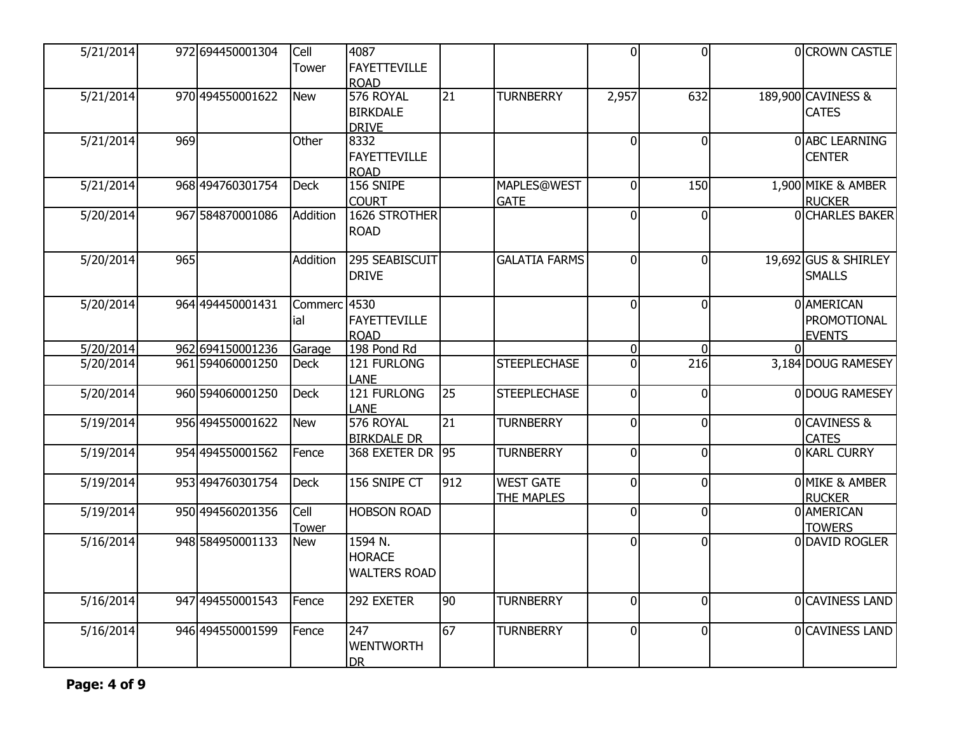| $\overline{5/21/2014}$ |     | 972 694450001304 | Cell         | 4087                |     |                      | $\Omega$       | $\overline{0}$ |          | OCROWN CASTLE            |
|------------------------|-----|------------------|--------------|---------------------|-----|----------------------|----------------|----------------|----------|--------------------------|
|                        |     |                  | Tower        | <b>FAYETTEVILLE</b> |     |                      |                |                |          |                          |
|                        |     |                  |              | <b>ROAD</b>         |     |                      |                |                |          |                          |
| 5/21/2014              |     | 970 494550001622 | New          | 576 ROYAL           | 21  | <b>TURNBERRY</b>     | 2,957          | 632            |          | 189,900 CAVINESS &       |
|                        |     |                  |              | <b>BIRKDALE</b>     |     |                      |                |                |          | <b>CATES</b>             |
|                        |     |                  |              | <b>DRIVE</b>        |     |                      |                |                |          |                          |
| 5/21/2014              | 969 |                  | Other        | 8332                |     |                      | $\Omega$       | $\overline{0}$ |          | 0 ABC LEARNING           |
|                        |     |                  |              | <b>FAYETTEVILLE</b> |     |                      |                |                |          | <b>CENTER</b>            |
|                        |     |                  |              | <b>ROAD</b>         |     |                      |                |                |          |                          |
| 5/21/2014              |     | 968 494760301754 | <b>Deck</b>  | 156 SNIPE           |     | <b>MAPLES@WEST</b>   | $\Omega$       | 150            |          | 1,900 MIKE & AMBER       |
|                        |     |                  |              | <b>COURT</b>        |     | <b>GATE</b>          |                |                |          | <b>RUCKER</b>            |
| 5/20/2014              |     | 967 584870001086 | Addition     | 1626 STROTHER       |     |                      | $\Omega$       | $\Omega$       |          | <b>OCHARLES BAKER</b>    |
|                        |     |                  |              | <b>ROAD</b>         |     |                      |                |                |          |                          |
| 5/20/2014              | 965 |                  | Addition     | 295 SEABISCUIT      |     | <b>GALATIA FARMS</b> | $\overline{0}$ | $\mathbf 0$    |          | 19,692 GUS & SHIRLEY     |
|                        |     |                  |              |                     |     |                      |                |                |          |                          |
|                        |     |                  |              | <b>DRIVE</b>        |     |                      |                |                |          | <b>SMALLS</b>            |
| 5/20/2014              |     | 964 494450001431 | Commerc 4530 |                     |     |                      | $\Omega$       | $\Omega$       |          | 0 AMERICAN               |
|                        |     |                  | ial          | <b>FAYETTEVILLE</b> |     |                      |                |                |          | PROMOTIONAL              |
|                        |     |                  |              | <b>ROAD</b>         |     |                      |                |                |          | <b>EVENTS</b>            |
| 5/20/2014              |     | 962 694150001236 | Garage       | 198 Pond Rd         |     |                      | $\overline{0}$ | $\mathbf 0$    | $\Omega$ |                          |
| 5/20/2014              |     | 961 594060001250 | <b>Deck</b>  | 121 FURLONG         |     | <b>STEEPLECHASE</b>  | <sup>0</sup>   | 216            |          | 3,184 DOUG RAMESEY       |
|                        |     |                  |              | LANE                |     |                      |                |                |          |                          |
| 5/20/2014              |     | 960 594060001250 | <b>Deck</b>  | 121 FURLONG         | 25  | <b>STEEPLECHASE</b>  | $\overline{0}$ | $\overline{0}$ |          | 0 DOUG RAMESEY           |
|                        |     |                  |              | LANE                |     |                      |                |                |          |                          |
| 5/19/2014              |     | 956 494550001622 | <b>New</b>   | 576 ROYAL           | 21  | <b>TURNBERRY</b>     | $\Omega$       | $\mathbf 0$    |          | <b>OCAVINESS &amp;</b>   |
|                        |     |                  |              | <b>BIRKDALE DR</b>  |     |                      |                |                |          | <b>CATES</b>             |
| 5/19/2014              |     | 954 494550001562 | Fence        | 368 EXETER DR 95    |     | <b>TURNBERRY</b>     | $\Omega$       | $\overline{0}$ |          | 0 KARL CURRY             |
|                        |     |                  |              |                     |     |                      |                |                |          |                          |
| 5/19/2014              |     | 953 494760301754 | <b>Deck</b>  | 156 SNIPE CT        | 912 | <b>WEST GATE</b>     | $\overline{0}$ | $\overline{0}$ |          | <b>OMIKE &amp; AMBER</b> |
|                        |     |                  |              |                     |     | <b>THE MAPLES</b>    |                |                |          | <b>RUCKER</b>            |
| 5/19/2014              |     | 950 494560201356 | Cell         | <b>HOBSON ROAD</b>  |     |                      | $\overline{0}$ | $\mathbf{0}$   |          | 0 AMERICAN               |
|                        |     |                  | Tower        |                     |     |                      |                |                |          | <b>TOWERS</b>            |
| 5/16/2014              |     | 948 584950001133 | New          | 1594 N.             |     |                      | $\Omega$       | $\mathbf 0$    |          | 0 DAVID ROGLER           |
|                        |     |                  |              | <b>HORACE</b>       |     |                      |                |                |          |                          |
|                        |     |                  |              | <b>WALTERS ROAD</b> |     |                      |                |                |          |                          |
| 5/16/2014              |     | 947 494550001543 | Fence        | 292 EXETER          | 90  | <b>TURNBERRY</b>     | $\overline{0}$ | $\overline{0}$ |          | 0 CAVINESS LAND          |
|                        |     |                  |              |                     |     |                      |                |                |          |                          |
| 5/16/2014              |     | 946 494550001599 | Fence        | 247                 | 67  | <b>TURNBERRY</b>     | $\overline{0}$ | $\mathbf{0}$   |          | OCAVINESS LAND           |
|                        |     |                  |              | <b>WENTWORTH</b>    |     |                      |                |                |          |                          |
|                        |     |                  |              | <b>DR</b>           |     |                      |                |                |          |                          |
|                        |     |                  |              |                     |     |                      |                |                |          |                          |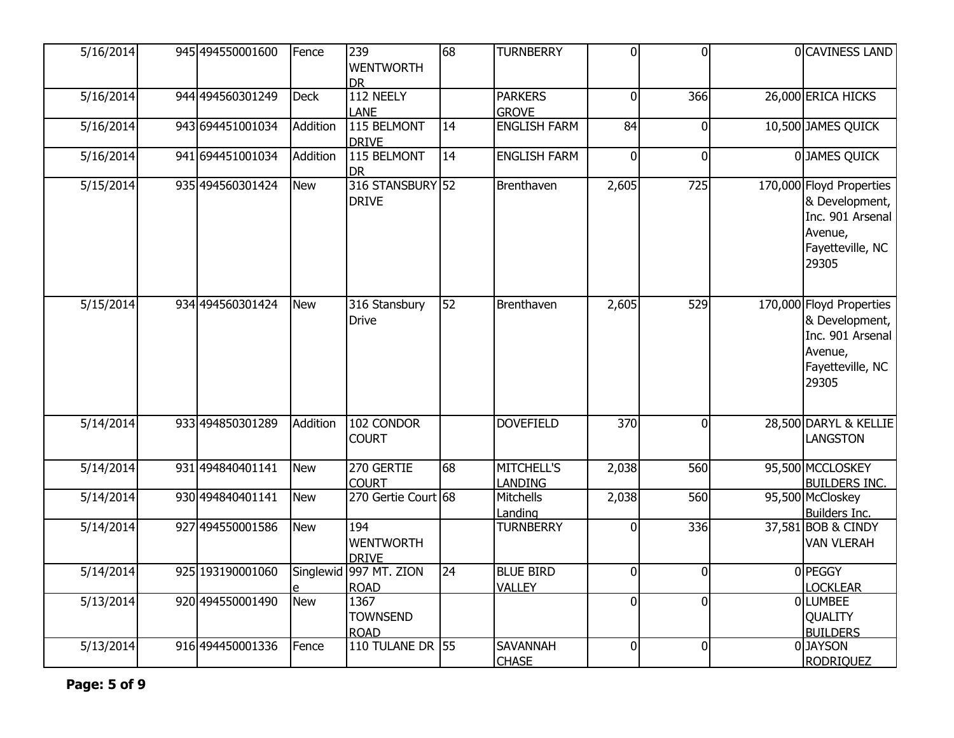| 5/16/2014 | 945 494550001600 | Fence      | 239<br><b>WENTWORTH</b><br><b>DR</b>    | 68              | <b>TURNBERRY</b>                  | $\overline{0}$ | $\overline{0}$ | 0 CAVINESS LAND                                                                                        |
|-----------|------------------|------------|-----------------------------------------|-----------------|-----------------------------------|----------------|----------------|--------------------------------------------------------------------------------------------------------|
| 5/16/2014 | 944 494560301249 | Deck       | 112 NEELY<br><b>LANE</b>                |                 | <b>PARKERS</b><br><b>GROVE</b>    | $\overline{0}$ | 366            | 26,000 ERICA HICKS                                                                                     |
| 5/16/2014 | 943 694451001034 | Addition   | 115 BELMONT<br><b>DRIVE</b>             | $\overline{14}$ | <b>ENGLISH FARM</b>               | 84             | $\overline{0}$ | 10,500 JAMES QUICK                                                                                     |
| 5/16/2014 | 941 694451001034 | Addition   | 115 BELMONT<br><b>DR</b>                | $ 14\rangle$    | <b>ENGLISH FARM</b>               | $\Omega$       | $\Omega$       | 0JAMES QUICK                                                                                           |
| 5/15/2014 | 935 494560301424 | New        | 316 STANSBURY 52<br><b>DRIVE</b>        |                 | Brenthaven                        | 2,605          | 725            | 170,000 Floyd Properties<br>& Development,<br>Inc. 901 Arsenal<br>Avenue,<br>Fayetteville, NC<br>29305 |
| 5/15/2014 | 934 494560301424 | <b>New</b> | 316 Stansbury<br><b>Drive</b>           | 52              | Brenthaven                        | 2,605          | 529            | 170,000 Floyd Properties<br>& Development,<br>Inc. 901 Arsenal<br>Avenue,<br>Fayetteville, NC<br>29305 |
| 5/14/2014 | 933 494850301289 | Addition   | 102 CONDOR<br><b>COURT</b>              |                 | <b>DOVEFIELD</b>                  | 370            | ΩI             | 28,500 DARYL & KELLIE<br><b>LANGSTON</b>                                                               |
| 5/14/2014 | 931 494840401141 | <b>New</b> | 270 GERTIE<br><b>COURT</b>              | 68              | MITCHELL'S<br><b>LANDING</b>      | 2,038          | 560            | 95,500 MCCLOSKEY<br><b>BUILDERS INC.</b>                                                               |
| 5/14/2014 | 930 494840401141 | <b>New</b> | 270 Gertie Court 68                     |                 | Mitchells<br>Landing              | 2,038          | 560            | 95,500 McCloskey<br>Builders Inc.                                                                      |
| 5/14/2014 | 927 494550001586 | <b>New</b> | 194<br><b>WENTWORTH</b><br><b>DRIVE</b> |                 | <b>TURNBERRY</b>                  | $\mathbf 0$    | 336            | 37,581 BOB & CINDY<br><b>VAN VLERAH</b>                                                                |
| 5/14/2014 | 925 193190001060 |            | Singlewid 997 MT. ZION<br><b>ROAD</b>   | 24              | <b>BLUE BIRD</b><br><b>VALLEY</b> | $\overline{0}$ | $\Omega$       | 0 PEGGY<br><b>LOCKLEAR</b>                                                                             |
| 5/13/2014 | 920 494550001490 | <b>New</b> | 1367<br><b>TOWNSEND</b><br><b>ROAD</b>  |                 |                                   | $\overline{0}$ | $\overline{0}$ | <b>OLLUMBEE</b><br><b>QUALITY</b><br><b>BUILDERS</b>                                                   |
| 5/13/2014 | 916 494450001336 | Fence      | 110 TULANE DR 55                        |                 | <b>SAVANNAH</b><br><b>CHASE</b>   | $\overline{0}$ | $\overline{0}$ | 0JAYSON<br><b>RODRIQUEZ</b>                                                                            |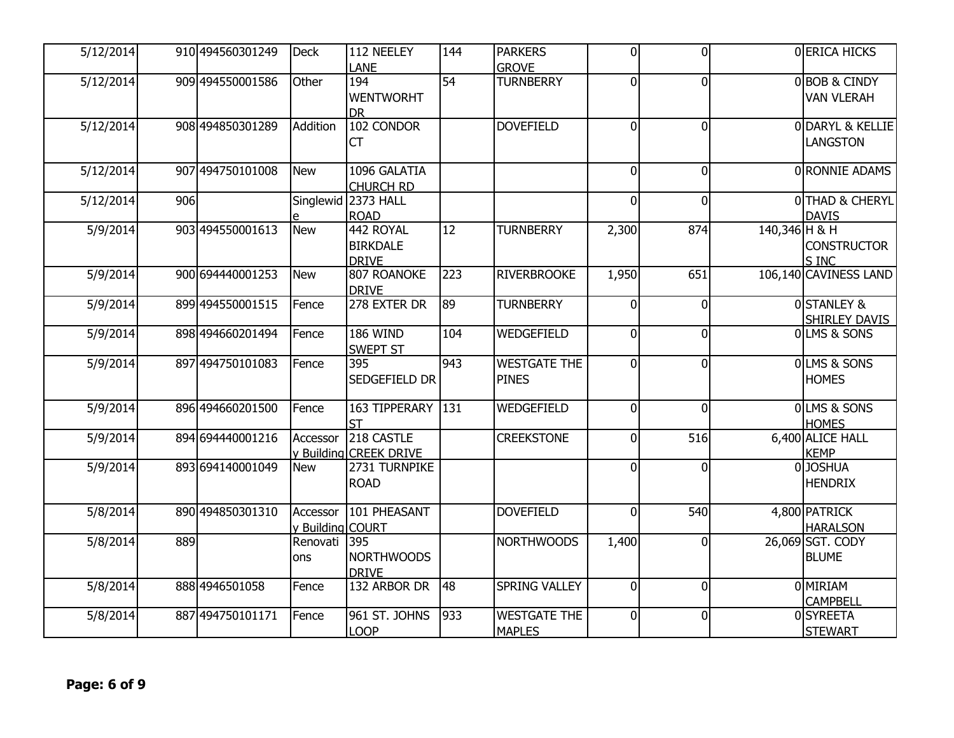| 5/12/2014 |     | 910 494560301249 | Deck                         | 112 NEELEY<br>LANE                           | 144              | <b>PARKERS</b><br><b>GROVE</b>       | $\mathbf 0$    | $\overline{0}$ |               | 0 ERICA HICKS                          |
|-----------|-----|------------------|------------------------------|----------------------------------------------|------------------|--------------------------------------|----------------|----------------|---------------|----------------------------------------|
| 5/12/2014 |     | 909 494550001586 | Other                        | 194<br><b>WENTWORHT</b><br><b>DR</b>         | 54               | <b>TURNBERRY</b>                     | $\mathbf{0}$   | $\overline{0}$ |               | 0BOB & CINDY<br><b>VAN VLERAH</b>      |
| 5/12/2014 |     | 908 494850301289 | Addition                     | 102 CONDOR<br><b>CT</b>                      |                  | <b>DOVEFIELD</b>                     | $\mathbf{0}$   | $\overline{0}$ |               | ODARYL & KELLIE<br><b>LANGSTON</b>     |
| 5/12/2014 |     | 907 494750101008 | New                          | 1096 GALATIA<br><b>CHURCH RD</b>             |                  |                                      | $\Omega$       | $\overline{0}$ |               | 0 RONNIE ADAMS                         |
| 5/12/2014 | 906 |                  |                              | Singlewid 2373 HALL<br><b>ROAD</b>           |                  |                                      | $\Omega$       | $\overline{0}$ |               | 0THAD & CHERYL<br><b>DAVIS</b>         |
| 5/9/2014  |     | 903 494550001613 | <b>New</b>                   | 442 ROYAL<br><b>BIRKDALE</b><br><b>DRIVE</b> | 12               | <b>TURNBERRY</b>                     | 2,300          | 874            | 140,346 H & H | <b>CONSTRUCTOR</b><br>S INC            |
| 5/9/2014  |     | 900 694440001253 | New                          | 807 ROANOKE<br><b>DRIVE</b>                  | 223              | <b>RIVERBROOKE</b>                   | 1,950          | 651            |               | 106,140 CAVINESS LAND                  |
| 5/9/2014  |     | 899 494550001515 | Fence                        | 278 EXTER DR                                 | 89               | <b>TURNBERRY</b>                     | $\Omega$       | $\overline{0}$ |               | <b>OSTANLEY &amp;</b><br>SHIRLEY DAVIS |
| 5/9/2014  |     | 898 494660201494 | Fence                        | 186 WIND<br><b>SWEPT ST</b>                  | 104              | WEDGEFIELD                           | $\mathbf{0}$   | $\overline{0}$ |               | OLMS & SONS                            |
| 5/9/2014  |     | 897 494750101083 | Fence                        | 395<br>SEDGEFIELD DR                         | 943              | <b>WESTGATE THE</b><br><b>PINES</b>  | $\Omega$       | $\overline{0}$ |               | OLMS & SONS<br><b>HOMES</b>            |
| 5/9/2014  |     | 896 494660201500 | Fence                        | 163 TIPPERARY<br><b>ST</b>                   | $\overline{131}$ | WEDGEFIELD                           | $\mathbf 0$    | $\overline{0}$ |               | 0LMS & SONS<br><b>HOMES</b>            |
| 5/9/2014  |     | 894 694440001216 | Accessor                     | 218 CASTLE<br>v Building CREEK DRIVE         |                  | <b>CREEKSTONE</b>                    | $\Omega$       | 516            |               | 6,400 ALICE HALL<br><b>KEMP</b>        |
| 5/9/2014  |     | 893 694140001049 | <b>New</b>                   | 2731 TURNPIKE<br><b>ROAD</b>                 |                  |                                      | $\Omega$       | $\overline{0}$ |               | 0JJOSHUA<br><b>HENDRIX</b>             |
| 5/8/2014  |     | 890 494850301310 | Accessor<br>y Building COURT | 101 PHEASANT                                 |                  | <b>DOVEFIELD</b>                     | $\Omega$       | 540            |               | 4,800 PATRICK<br><b>HARALSON</b>       |
| 5/8/2014  | 889 |                  | Renovati<br>lons             | 395<br><b>NORTHWOODS</b><br><b>DRIVE</b>     |                  | <b>NORTHWOODS</b>                    | 1,400          | 0l             |               | 26,069 SGT. CODY<br><b>BLUME</b>       |
| 5/8/2014  |     | 888 4946501058   | Fence                        | 132 ARBOR DR                                 | 48               | <b>SPRING VALLEY</b>                 | $\Omega$       | $\overline{0}$ |               | 0 MIRIAM<br><b>CAMPBELL</b>            |
| 5/8/2014  |     | 887 494750101171 | Fence                        | 961 ST. JOHNS<br><b>LOOP</b>                 | 933              | <b>WESTGATE THE</b><br><b>MAPLES</b> | $\overline{0}$ | $\overline{0}$ |               | 0SYREETA<br><b>STEWART</b>             |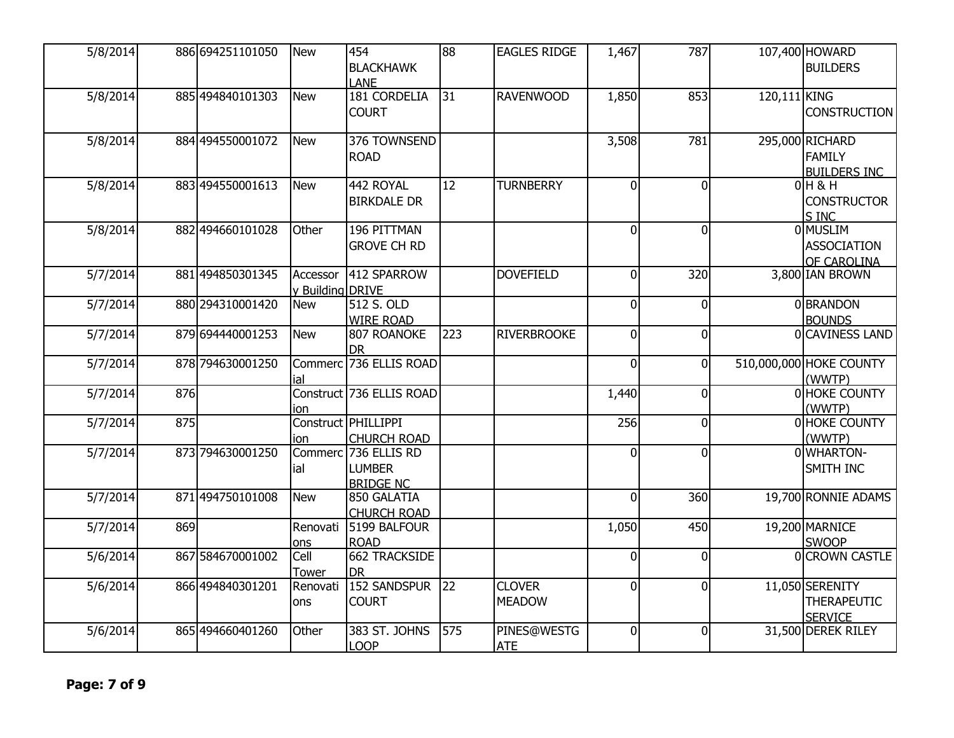| 5/8/2014 |     | 886 694251101050 | <b>New</b>                   | 454<br><b>BLACKHAWK</b><br><b>LANE</b>                    | 88  | <b>EAGLES RIDGE</b>            | 1,467          | 787            |              | 107,400 HOWARD<br><b>BUILDERS</b>                       |
|----------|-----|------------------|------------------------------|-----------------------------------------------------------|-----|--------------------------------|----------------|----------------|--------------|---------------------------------------------------------|
| 5/8/2014 |     | 885 494840101303 | New                          | 181 CORDELIA<br><b>COURT</b>                              | 31  | <b>RAVENWOOD</b>               | 1,850          | 853            | 120,111 KING | <b>CONSTRUCTION</b>                                     |
| 5/8/2014 |     | 884 494550001072 | <b>New</b>                   | 376 TOWNSEND<br><b>ROAD</b>                               |     |                                | 3,508          | 781            |              | 295,000 RICHARD<br>FAMILY<br><b>BUILDERS INC</b>        |
| 5/8/2014 |     | 883 494550001613 | New                          | 442 ROYAL<br><b>BIRKDALE DR</b>                           | 12  | <b>TURNBERRY</b>               | $\Omega$       | $\overline{0}$ |              | $0$ H & H<br><b>CONSTRUCTOR</b><br>S INC                |
| 5/8/2014 |     | 882 494660101028 | Other                        | 196 PITTMAN<br><b>GROVE CH RD</b>                         |     |                                | $\Omega$       | $\overline{0}$ |              | 0 MUSLIM<br><b>ASSOCIATION</b><br>OF CAROLINA           |
| 5/7/2014 |     | 881 494850301345 | Accessor<br>y Building DRIVE | 412 SPARROW                                               |     | <b>DOVEFIELD</b>               | $\mathbf 0$    | 320            |              | 3,800 IAN BROWN                                         |
| 5/7/2014 |     | 880 294310001420 | New                          | 512 S. OLD<br><b>WIRE ROAD</b>                            |     |                                | $\mathbf{0}$   | $\overline{0}$ |              | 0BRANDON<br><b>BOUNDS</b>                               |
| 5/7/2014 |     | 879 694440001253 | New                          | 807 ROANOKE<br><b>DR</b>                                  | 223 | <b>RIVERBROOKE</b>             | $\mathbf{0}$   | $\overline{0}$ |              | 0 CAVINESS LAND                                         |
| 5/7/2014 |     | 878 794630001250 | ial                          | Commerc 736 ELLIS ROAD                                    |     |                                | $\Omega$       | 0l             |              | 510,000,000 HOKE COUNTY<br>(WWTP)                       |
| 5/7/2014 | 876 |                  | ion                          | Construct 736 ELLIS ROAD                                  |     |                                | 1,440          | $\overline{0}$ |              | 0 HOKE COUNTY<br>(WWTP)                                 |
| 5/7/2014 | 875 |                  | ion                          | Construct PHILLIPPI<br><b>CHURCH ROAD</b>                 |     |                                | 256            | $\overline{0}$ |              | 0 HOKE COUNTY<br>(WWTP)                                 |
| 5/7/2014 |     | 873 794630001250 | lial                         | Commerc 736 ELLIS RD<br><b>LUMBER</b><br><b>BRIDGE NC</b> |     |                                | $\Omega$       | 0              |              | 0WHARTON-<br>SMITH INC                                  |
| 5/7/2014 |     | 871 494750101008 | New                          | 850 GALATIA<br><b>CHURCH ROAD</b>                         |     |                                | $\Omega$       | 360            |              | 19,700 RONNIE ADAMS                                     |
| 5/7/2014 | 869 |                  | Renovati<br>ons              | 5199 BALFOUR<br><b>ROAD</b>                               |     |                                | 1,050          | 450            |              | 19,200 MARNICE<br><b>SWOOP</b>                          |
| 5/6/2014 |     | 867 584670001002 | Cell<br><b>Tower</b>         | <b>662 TRACKSIDE</b><br><b>DR</b>                         |     |                                | $\mathbf{0}$   | $\overline{0}$ |              | 0 CROWN CASTLE                                          |
| 5/6/2014 |     | 866 494840301201 | Renovati<br>lons             | <b>152 SANDSPUR</b><br><b>COURT</b>                       | 22  | <b>CLOVER</b><br><b>MEADOW</b> | 0              | $\overline{0}$ |              | 11,050 SERENITY<br><b>THERAPEUTIC</b><br><b>SERVICE</b> |
| 5/6/2014 |     | 865 494660401260 | Other                        | 383 ST. JOHNS<br><b>LOOP</b>                              | 575 | PINES@WESTG<br><b>ATE</b>      | $\overline{0}$ | $\overline{0}$ |              | 31,500 DEREK RILEY                                      |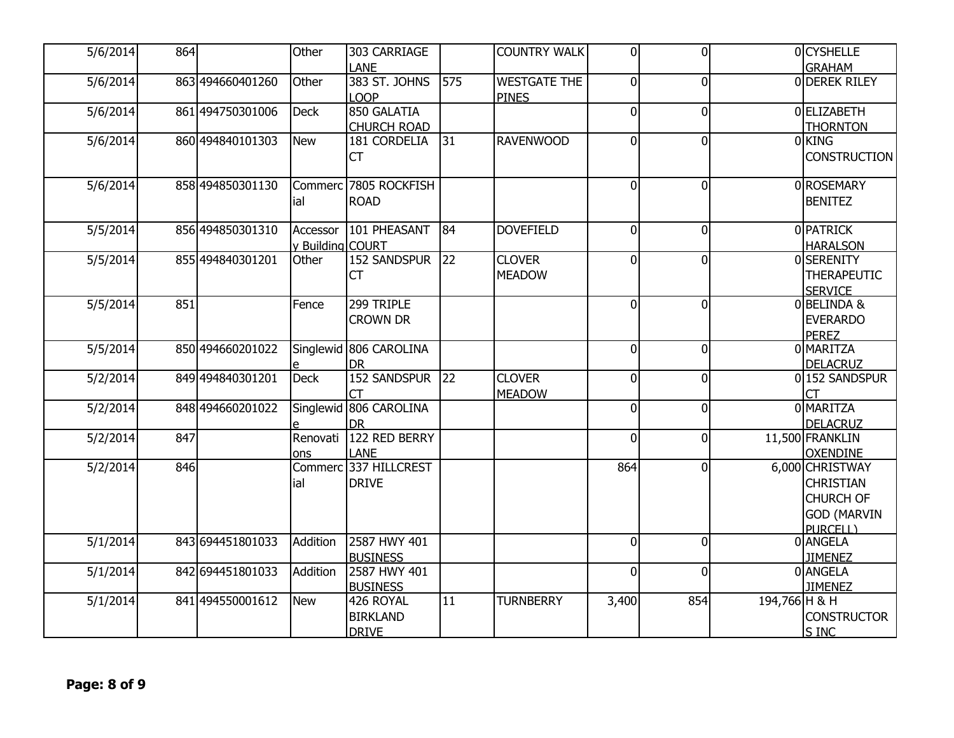| 5/6/2014 | 864 |                  | Other                        | 303 CARRIAGE                                     |     | <b>COUNTRY WALK</b>            | $\Omega$       | $\Omega$       |               | 0CYSHELLE                                                                                 |
|----------|-----|------------------|------------------------------|--------------------------------------------------|-----|--------------------------------|----------------|----------------|---------------|-------------------------------------------------------------------------------------------|
| 5/6/2014 |     | 863 494660401260 | Other                        | LANE<br>383 ST. JOHNS                            | 575 | <b>WESTGATE THE</b>            | $\overline{0}$ | $\Omega$       |               | <b>GRAHAM</b><br>0 DEREK RILEY                                                            |
| 5/6/2014 |     | 861 494750301006 | <b>Deck</b>                  | <b>LOOP</b><br>850 GALATIA<br><b>CHURCH ROAD</b> |     | <b>PINES</b>                   | $\overline{0}$ | $\overline{0}$ |               | 0ELIZABETH<br><b>THORNTON</b>                                                             |
| 5/6/2014 |     | 860 494840101303 | <b>New</b>                   | 181 CORDELIA<br><b>CT</b>                        | 31  | <b>RAVENWOOD</b>               | $\overline{0}$ | $\Omega$       |               | 0KING<br><b>CONSTRUCTION</b>                                                              |
| 5/6/2014 |     | 858 494850301130 | lial                         | Commerc 7805 ROCKFISH<br><b>ROAD</b>             |     |                                | $\overline{0}$ | $\overline{0}$ |               | 0ROSEMARY<br><b>BENITEZ</b>                                                               |
| 5/5/2014 |     | 856 494850301310 | Accessor<br>y Building COURT | 101 PHEASANT                                     | 84  | <b>DOVEFIELD</b>               | $\overline{0}$ | $\overline{0}$ |               | <b>OPATRICK</b><br><b>HARALSON</b>                                                        |
| 5/5/2014 |     | 855 494840301201 | Other                        | <b>152 SANDSPUR</b><br><b>CT</b>                 | 22  | <b>CLOVER</b><br><b>MEADOW</b> | $\Omega$       | ΩI             |               | 0SERENITY<br><b>THERAPEUTIC</b><br><b>SERVICE</b>                                         |
| 5/5/2014 | 851 |                  | Fence                        | 299 TRIPLE<br><b>CROWN DR</b>                    |     |                                | $\overline{0}$ | $\overline{0}$ |               | 0BELINDA &<br><b>EVERARDO</b><br><b>PEREZ</b>                                             |
| 5/5/2014 |     | 850 494660201022 |                              | Singlewid 806 CAROLINA<br><b>DR</b>              |     |                                | $\overline{0}$ | $\Omega$       |               | 0 MARITZA<br><b>DELACRUZ</b>                                                              |
| 5/2/2014 |     | 849 494840301201 | <b>Deck</b>                  | <b>152 SANDSPUR</b><br>СT                        | 22  | <b>CLOVER</b><br><b>MEADOW</b> | 0l             | $\overline{0}$ |               | 0152 SANDSPUR<br>СT                                                                       |
| 5/2/2014 |     | 848 494660201022 |                              | Singlewid 806 CAROLINA<br><b>DR</b>              |     |                                | $\overline{0}$ | $\overline{0}$ |               | <b>OMARITZA</b><br><b>DELACRUZ</b>                                                        |
| 5/2/2014 | 847 |                  | Renovati<br>ons              | 122 RED BERRY<br><b>LANE</b>                     |     |                                | $\overline{0}$ | $\overline{0}$ |               | 11,500 FRANKLIN<br><b>OXENDINE</b>                                                        |
| 5/2/2014 | 846 |                  | ial                          | Commerc 337 HILLCREST<br><b>DRIVE</b>            |     |                                | 864            | <sup>0</sup>   |               | 6,000 CHRISTWAY<br><b>CHRISTIAN</b><br><b>CHURCH OF</b><br><b>GOD (MARVIN</b><br>PURCELL) |
| 5/1/2014 |     | 843 694451801033 | Addition                     | 2587 HWY 401<br><b>BUSINESS</b>                  |     |                                | $\overline{0}$ | $\overline{0}$ |               | 0 ANGELA<br><b>JIMENEZ</b>                                                                |
| 5/1/2014 |     | 842 694451801033 | Addition                     | 2587 HWY 401<br><b>BUSINESS</b>                  |     |                                | $\overline{0}$ | 0              |               | <b>O</b> ANGELA<br><b>JIMENEZ</b>                                                         |
| 5/1/2014 |     | 841 494550001612 | New                          | 426 ROYAL<br><b>BIRKLAND</b><br><b>DRIVE</b>     | 11  | <b>TURNBERRY</b>               | 3,400          | 854            | 194,766 H & H | <b>CONSTRUCTOR</b><br><b>S INC</b>                                                        |